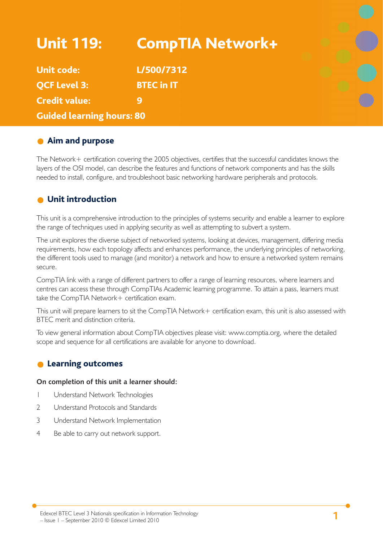| <b>Unit 119:</b>                 | <b>CompTIA Network+</b> |  |
|----------------------------------|-------------------------|--|
| <b>Unit code:</b>                | L/500/7312              |  |
| <b>QCF Level 3:</b>              | <b>BTEC in IT</b>       |  |
| <b>Credit value:</b>             | 9                       |  |
| <b>Guided learning hours: 80</b> |                         |  |

## **Aim and purpose**

The Network+ certification covering the 2005 objectives, certifies that the successful candidates knows the layers of the OSI model, can describe the features and functions of network components and has the skills needed to install, configure, and troubleshoot basic networking hardware peripherals and protocols.

## **O** Unit introduction

This unit is a comprehensive introduction to the principles of systems security and enable a learner to explore the range of techniques used in applying security as well as attempting to subvert a system.

The unit explores the diverse subject of networked systems, looking at devices, management, differing media requirements, how each topology affects and enhances performance, the underlying principles of networking, the different tools used to manage (and monitor) a network and how to ensure a networked system remains secure.

CompTIA link with a range of different partners to offer a range of learning resources, where learners and centres can access these through CompTIAs Academic learning programme. To attain a pass, learners must take the CompTIA Network+ certification exam.

This unit will prepare learners to sit the CompTIA Network+ certification exam, this unit is also assessed with BTEC merit and distinction criteria.

To view general information about CompTIA objectives please visit: www.comptia.org, where the detailed scope and sequence for all certifications are available for anyone to download.

## **C** Learning outcomes

#### **On completion of this unit a learner should:**

- 1 Understand Network Technologies
- 2 Understand Protocols and Standards
- 3 Understand Network Implementation
- 4 Be able to carry out network support.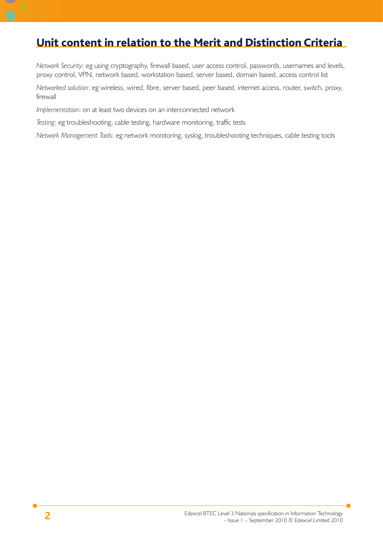## Unit content in relation to the Merit and Distinction Criteria

*Network Security*: eg using cryptography, firewall based, user access control, passwords, usernames and levels, proxy control, VPN, network based, workstation based, server based, domain based, access control list

*Networked solution*: eg wireless, wired, fibre, server based, peer based, internet access, router, switch, proxy, firewall

*Implementation*: on at least two devices on an interconnected network

*Testing*: eg troubleshooting, cable testing, hardware monitoring, traffic tests

*Network Management Tools*: eg network monitoring, syslog, troubleshooting techniques, cable testing tools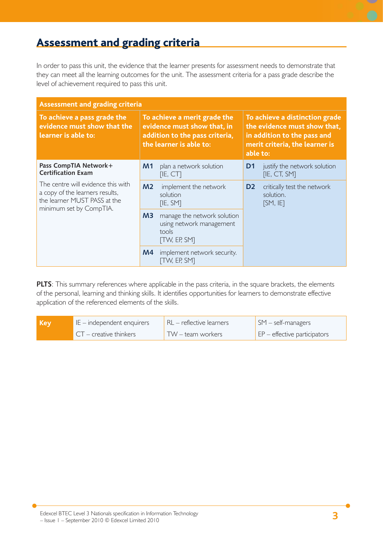# Assessment and grading criteria

In order to pass this unit, the evidence that the learner presents for assessment needs to demonstrate that they can meet all the learning outcomes for the unit. The assessment criteria for a pass grade describe the level of achievement required to pass this unit.

| <b>Assessment and grading criteria</b>                                                                                           |                                                                                                                          |                                                                                  |                                                                                                                                             |                                                      |
|----------------------------------------------------------------------------------------------------------------------------------|--------------------------------------------------------------------------------------------------------------------------|----------------------------------------------------------------------------------|---------------------------------------------------------------------------------------------------------------------------------------------|------------------------------------------------------|
| To achieve a pass grade the<br>evidence must show that the<br>learner is able to:                                                | To achieve a merit grade the<br>evidence must show that, in<br>addition to the pass criteria,<br>the learner is able to: |                                                                                  | To achieve a distinction grade<br>the evidence must show that,<br>in addition to the pass and<br>merit criteria, the learner is<br>able to: |                                                      |
| Pass CompTIA Network+<br><b>Certification Exam</b>                                                                               | M <sub>1</sub>                                                                                                           | plan a network solution<br>[IE, CT]                                              | D <sub>1</sub>                                                                                                                              | justify the network solution<br>[IE, CT, SM]         |
| The centre will evidence this with<br>a copy of the learners results,<br>the learner MUST PASS at the<br>minimum set by CompTIA. | M <sub>2</sub>                                                                                                           | implement the network<br>solution<br>[IE, SM]                                    | D <sub>2</sub>                                                                                                                              | critically test the network<br>solution.<br>[SM, IF] |
|                                                                                                                                  | M3                                                                                                                       | manage the network solution<br>using network management<br>tools<br>[TW, EF, SM] |                                                                                                                                             |                                                      |
|                                                                                                                                  | M4                                                                                                                       | implement network security.<br><b>TW, EP, SMT</b>                                |                                                                                                                                             |                                                      |

**PLTS**: This summary references where applicable in the pass criteria, in the square brackets, the elements of the personal, learning and thinking skills. It identifies opportunities for learners to demonstrate effective application of the referenced elements of the skills.

| Kev | IE - independent enquirers | $RL$ – reflective learners | $\mathsf{SM}$ – self-managers             |
|-----|----------------------------|----------------------------|-------------------------------------------|
|     | $CT$ – creative thinkers   | TW – team workers          | $\mathsf{E}$ EP – effective participators |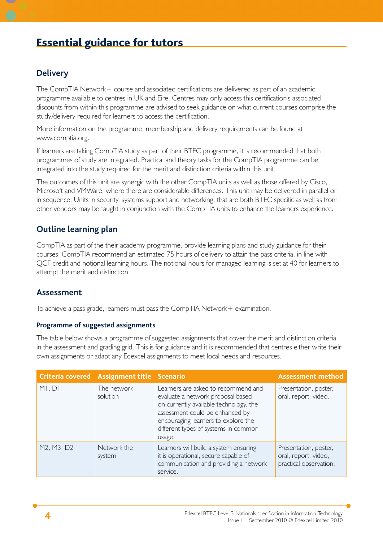# Essential guidance for tutors

## **Delivery**

The CompTIA Network+ course and associated certifications are delivered as part of an academic programme available to centres in UK and Eire. Centres may only access this certification's associated discounts from within this programme are advised to seek guidance on what current courses comprise the study/delivery required for learners to access the certification.

More information on the programme, membership and delivery requirements can be found at www.comptia.org.

If learners are taking CompTIA study as part of their BTEC programme, it is recommended that both programmes of study are integrated. Practical and theory tasks for the CompTIA programme can be integrated into the study required for the merit and distinction criteria within this unit.

The outcomes of this unit are synergic with the other CompTIA units as well as those offered by Cisco, Microsoft and VMWare, where there are considerable differences. This unit may be delivered in parallel or in sequence. Units in security, systems support and networking, that are both BTEC specific as well as from other vendors may be taught in conjunction with the CompTIA units to enhance the learners experience.

## **Outline learning plan**

CompTIA as part of the their academy programme, provide learning plans and study guidance for their courses. CompTIA recommend an estimated 75 hours of delivery to attain the pass criteria, in line with QCF credit and notional learning hours. The notional hours for managed learning is set at 40 for learners to attempt the merit and distinction

#### **Assessment**

To achieve a pass grade, learners must pass the CompTIA Network+ examination.

#### **Programme of suggested assignments**

The table below shows a programme of suggested assignments that cover the merit and distinction criteria in the assessment and grading grid. This is for guidance and it is recommended that centres either write their own assignments or adapt any Edexcel assignments to meet local needs and resources.

|            | Criteria covered Assignment title Scenario |                                                                                                                                                                                                                                                | <b>Assessment method</b>                                                |
|------------|--------------------------------------------|------------------------------------------------------------------------------------------------------------------------------------------------------------------------------------------------------------------------------------------------|-------------------------------------------------------------------------|
| MI, DI     | The network<br>solution                    | Learners are asked to recommend and<br>evaluate a network proposal based<br>on currently available technology, the<br>assessment could be enhanced by<br>encouraging learners to explore the<br>different types of systems in common<br>usage. | Presentation, poster,<br>oral, report, video.                           |
| M2, M3, D2 | Network the<br>system                      | Learners will build a system ensuring<br>it is operational, secure capable of<br>communication and providing a network<br>service.                                                                                                             | Presentation, poster,<br>oral, report, video,<br>practical observation. |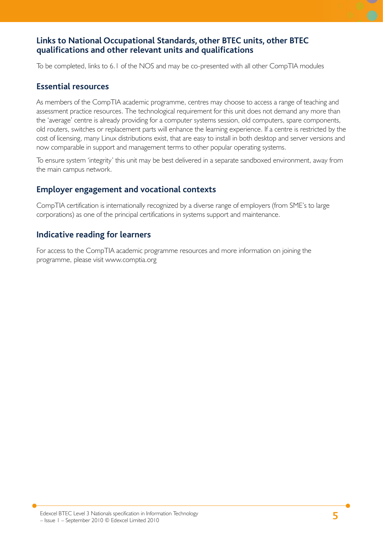## **Links to National Occupational Standards, other BTEC units, other BTEC qualifi cations and other relevant units and qualifi cations**

To be completed, links to 6.1 of the NOS and may be co-presented with all other CompTIA modules

#### **Essential resources**

As members of the CompTIA academic programme, centres may choose to access a range of teaching and assessment practice resources. The technological requirement for this unit does not demand any more than the 'average' centre is already providing for a computer systems session, old computers, spare components, old routers, switches or replacement parts will enhance the learning experience. If a centre is restricted by the cost of licensing, many Linux distributions exist, that are easy to install in both desktop and server versions and now comparable in support and management terms to other popular operating systems.

To ensure system 'integrity' this unit may be best delivered in a separate sandboxed environment, away from the main campus network.

## **Employer engagement and vocational contexts**

CompTIA certification is internationally recognized by a diverse range of employers (from SME's to large corporations) as one of the principal certifications in systems support and maintenance.

## **Indicative reading for learners**

For access to the CompTIA academic programme resources and more information on joining the programme, please visit www.comptia.org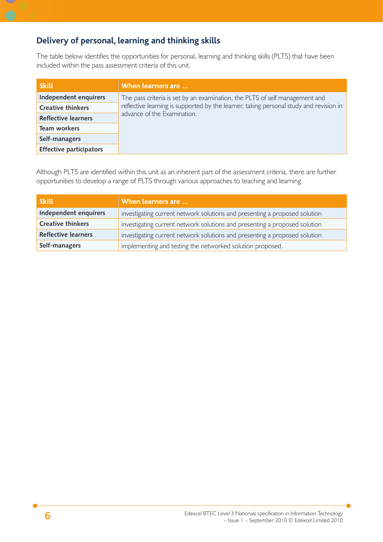## **Delivery of personal, learning and thinking skills**

The table below identifies the opportunities for personal, learning and thinking skills (PLTS) that have been included within the pass assessment criteria of this unit.

| <b>Skill</b>                   | When learners are                                                                      |  |
|--------------------------------|----------------------------------------------------------------------------------------|--|
| Independent enquirers          | The pass criteria is set by an examination, the PLTS of self management and            |  |
| <b>Creative thinkers</b>       | reflective learning is supported by the learner, taking personal study and revision in |  |
| <b>Reflective learners</b>     | advance of the Examination.                                                            |  |
| Team workers                   |                                                                                        |  |
| Self-managers                  |                                                                                        |  |
| <b>Effective participators</b> |                                                                                        |  |

Although PLTS are identified within this unit as an inherent part of the assessment criteria, there are further opportunities to develop a range of PLTS through various approaches to teaching and learning.

| <b>Skill</b>               | When learners are                                                          |  |
|----------------------------|----------------------------------------------------------------------------|--|
| Independent enquirers      | investigating current network solutions and presenting a proposed solution |  |
| <b>Creative thinkers</b>   | investigating current network solutions and presenting a proposed solution |  |
| <b>Reflective learners</b> | investigating current network solutions and presenting a proposed solution |  |
| Self-managers              | implementing and testing the networked solution proposed.                  |  |